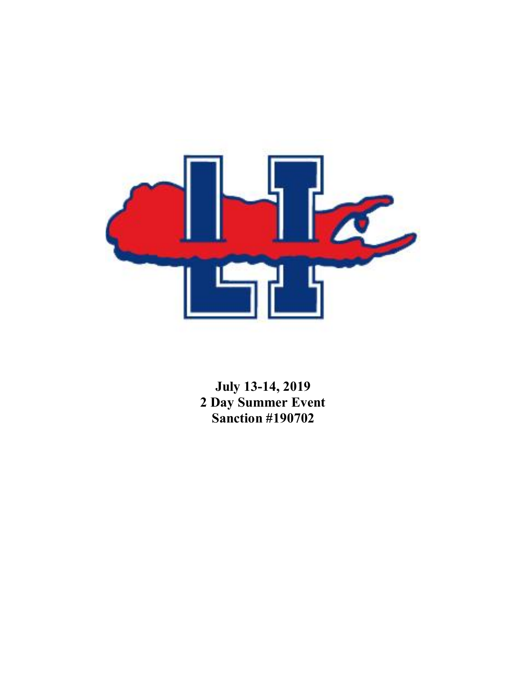

**July 13-14, 2019 2 Day Summer Event Sanction #190702**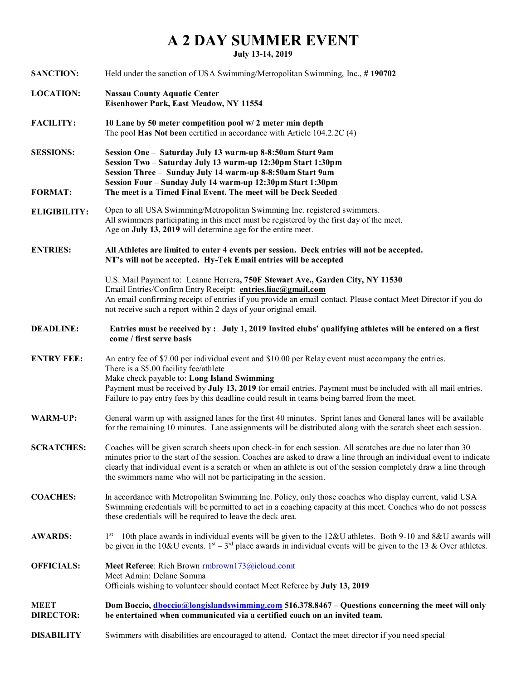## **A 2 DAY SUMMER EVENT**

**July 13-14, 2019**

| <b>SANCTION:</b>                   | Held under the sanction of USA Swimming/Metropolitan Swimming, Inc., #190702                                                                                                                                                                                                                                                                                                                                                |
|------------------------------------|-----------------------------------------------------------------------------------------------------------------------------------------------------------------------------------------------------------------------------------------------------------------------------------------------------------------------------------------------------------------------------------------------------------------------------|
| <b>LOCATION:</b>                   | <b>Nassau County Aquatic Center</b><br>Eisenhower Park, East Meadow, NY 11554                                                                                                                                                                                                                                                                                                                                               |
| <b>FACILITY:</b>                   | 10 Lane by 50 meter competition pool w/ 2 meter min depth<br>The pool Has Not been certified in accordance with Article 104.2.2C (4)                                                                                                                                                                                                                                                                                        |
| <b>SESSIONS:</b><br><b>FORMAT:</b> | Session One - Saturday July 13 warm-up 8-8:50am Start 9am<br>Session Two - Saturday July 13 warm-up 12:30pm Start 1:30pm<br>Session Three - Sunday July 14 warm-up 8-8:50am Start 9am<br>Session Four - Sunday July 14 warm-up 12:30pm Start 1:30pm<br>The meet is a Timed Final Event. The meet will be Deck Seeded                                                                                                        |
| <b>ELIGIBILITY:</b>                | Open to all USA Swimming/Metropolitan Swimming Inc. registered swimmers.<br>All swimmers participating in this meet must be registered by the first day of the meet.<br>Age on July 13, 2019 will determine age for the entire meet.                                                                                                                                                                                        |
| <b>ENTRIES:</b>                    | All Athletes are limited to enter 4 events per session. Deck entries will not be accepted.<br>NT's will not be accepted. Hy-Tek Email entries will be accepted                                                                                                                                                                                                                                                              |
|                                    | U.S. Mail Payment to: Leanne Herrera, 750F Stewart Ave., Garden City, NY 11530<br>Email Entries/Confirm Entry Receipt: entries.liac@gmail.com<br>An email confirming receipt of entries if you provide an email contact. Please contact Meet Director if you do<br>not receive such a report within 2 days of your original email.                                                                                          |
| <b>DEADLINE:</b>                   | Entries must be received by: July 1, 2019 Invited clubs' qualifying athletes will be entered on a first<br>come / first serve basis                                                                                                                                                                                                                                                                                         |
| <b>ENTRY FEE:</b>                  | An entry fee of \$7.00 per individual event and \$10.00 per Relay event must accompany the entries.<br>There is a \$5.00 facility fee/athlete<br>Make check payable to: Long Island Swimming<br>Payment must be received by July 13, 2019 for email entries. Payment must be included with all mail entries.<br>Failure to pay entry fees by this deadline could result in teams being barred from the meet.                |
| <b>WARM-UP:</b>                    | General warm up with assigned lanes for the first 40 minutes. Sprint lanes and General lanes will be available<br>for the remaining 10 minutes. Lane assignments will be distributed along with the scratch sheet each session.                                                                                                                                                                                             |
| <b>SCRATCHES:</b>                  | Coaches will be given scratch sheets upon check-in for each session. All scratches are due no later than 30<br>minutes prior to the start of the session. Coaches are asked to draw a line through an individual event to indicate<br>clearly that individual event is a scratch or when an athlete is out of the session completely draw a line through<br>the swimmers name who will not be participating in the session. |
| <b>COACHES:</b>                    | In accordance with Metropolitan Swimming Inc. Policy, only those coaches who display current, valid USA<br>Swimming credentials will be permitted to act in a coaching capacity at this meet. Coaches who do not possess<br>these credentials will be required to leave the deck area.                                                                                                                                      |
| <b>AWARDS:</b>                     | $1st - 10$ th place awards in individual events will be given to the 12&U athletes. Both 9-10 and 8&U awards will<br>be given in the 10&U events. $1st - 3rd$ place awards in individual events will be given to the 13 & Over athletes.                                                                                                                                                                                    |
| <b>OFFICIALS:</b>                  | Meet Referee: Rich Brown rmbrown173@icloud.comt<br>Meet Admin: Delane Somma<br>Officials wishing to volunteer should contact Meet Referee by July 13, 2019                                                                                                                                                                                                                                                                  |
| <b>MEET</b><br><b>DIRECTOR:</b>    | Dom Boccio, <i>dboccio@longislandswimming.com</i> 516.378.8467 - Questions concerning the meet will only<br>be entertained when communicated via a certified coach on an invited team.                                                                                                                                                                                                                                      |
| <b>DISABILITY</b>                  | Swimmers with disabilities are encouraged to attend. Contact the meet director if you need special                                                                                                                                                                                                                                                                                                                          |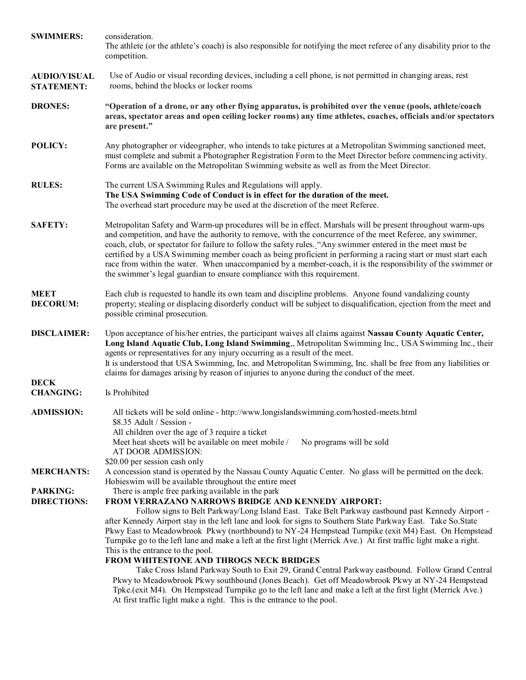| <b>SWIMMERS:</b>                         | consideration.<br>The athlete (or the athlete's coach) is also responsible for notifying the meet referee of any disability prior to the<br>competition.                                                                                                                                                                                                                                                                                                                                                                                                                                                                                                                                                                                                                                                                                                                                                                                                         |  |  |  |  |  |
|------------------------------------------|------------------------------------------------------------------------------------------------------------------------------------------------------------------------------------------------------------------------------------------------------------------------------------------------------------------------------------------------------------------------------------------------------------------------------------------------------------------------------------------------------------------------------------------------------------------------------------------------------------------------------------------------------------------------------------------------------------------------------------------------------------------------------------------------------------------------------------------------------------------------------------------------------------------------------------------------------------------|--|--|--|--|--|
| <b>AUDIO/VISUAL</b><br><b>STATEMENT:</b> | Use of Audio or visual recording devices, including a cell phone, is not permitted in changing areas, rest<br>rooms, behind the blocks or locker rooms                                                                                                                                                                                                                                                                                                                                                                                                                                                                                                                                                                                                                                                                                                                                                                                                           |  |  |  |  |  |
| <b>DRONES:</b>                           | "Operation of a drone, or any other flying apparatus, is prohibited over the venue (pools, athlete/coach<br>areas, spectator areas and open ceiling locker rooms) any time athletes, coaches, officials and/or spectators<br>are present."                                                                                                                                                                                                                                                                                                                                                                                                                                                                                                                                                                                                                                                                                                                       |  |  |  |  |  |
| POLICY:                                  | Any photographer or videographer, who intends to take pictures at a Metropolitan Swimming sanctioned meet,<br>must complete and submit a Photographer Registration Form to the Meet Director before commencing activity.<br>Forms are available on the Metropolitan Swimming website as well as from the Meet Director.                                                                                                                                                                                                                                                                                                                                                                                                                                                                                                                                                                                                                                          |  |  |  |  |  |
| <b>RULES:</b>                            | The current USA Swimming Rules and Regulations will apply.<br>The USA Swimming Code of Conduct is in effect for the duration of the meet.<br>The overhead start procedure may be used at the discretion of the meet Referee.                                                                                                                                                                                                                                                                                                                                                                                                                                                                                                                                                                                                                                                                                                                                     |  |  |  |  |  |
| <b>SAFETY:</b>                           | Metropolitan Safety and Warm-up procedures will be in effect. Marshals will be present throughout warm-ups<br>and competition, and have the authority to remove, with the concurrence of the meet Referee, any swimmer,<br>coach, club, or spectator for failure to follow the safety rules. "Any swimmer entered in the meet must be<br>certified by a USA Swimming member coach as being proficient in performing a racing start or must start each<br>race from within the water. When unaccompanied by a member-coach, it is the responsibility of the swimmer or<br>the swimmer's legal guardian to ensure compliance with this requirement.                                                                                                                                                                                                                                                                                                                |  |  |  |  |  |
| <b>MEET</b><br><b>DECORUM:</b>           | Each club is requested to handle its own team and discipline problems. Anyone found vandalizing county<br>property; stealing or displacing disorderly conduct will be subject to disqualification, ejection from the meet and<br>possible criminal prosecution.                                                                                                                                                                                                                                                                                                                                                                                                                                                                                                                                                                                                                                                                                                  |  |  |  |  |  |
| <b>DISCLAIMER:</b>                       | Upon acceptance of his/her entries, the participant waives all claims against Nassau County Aquatic Center,<br>Long Island Aquatic Club, Long Island Swimming,, Metropolitan Swimming Inc., USA Swimming Inc., their<br>agents or representatives for any injury occurring as a result of the meet.<br>It is understood that USA Swimming, Inc. and Metropolitan Swimming, Inc. shall be free from any liabilities or<br>claims for damages arising by reason of injuries to anyone during the conduct of the meet.                                                                                                                                                                                                                                                                                                                                                                                                                                              |  |  |  |  |  |
| <b>DECK</b><br><b>CHANGING:</b>          | Is Prohibited                                                                                                                                                                                                                                                                                                                                                                                                                                                                                                                                                                                                                                                                                                                                                                                                                                                                                                                                                    |  |  |  |  |  |
| <b>ADMISSION:</b>                        | All tickets will be sold online - http://www.longislandswimming.com/hosted-meets.html<br>\$8.35 Adult / Session -<br>All children over the age of 3 require a ticket<br>Meet heat sheets will be available on meet mobile /<br>No programs will be sold<br>AT DOOR ADMISSION:<br>\$20.00 per session cash only                                                                                                                                                                                                                                                                                                                                                                                                                                                                                                                                                                                                                                                   |  |  |  |  |  |
| <b>MERCHANTS:</b>                        | A concession stand is operated by the Nassau County Aquatic Center. No glass will be permitted on the deck.<br>Hobieswim will be available throughout the entire meet                                                                                                                                                                                                                                                                                                                                                                                                                                                                                                                                                                                                                                                                                                                                                                                            |  |  |  |  |  |
| <b>PARKING:</b><br><b>DIRECTIONS:</b>    | There is ample free parking available in the park<br>FROM VERRAZANO NARROWS BRIDGE AND KENNEDY AIRPORT:<br>Follow signs to Belt Parkway/Long Island East. Take Belt Parkway eastbound past Kennedy Airport -<br>after Kennedy Airport stay in the left lane and look for signs to Southern State Parkway East. Take So.State<br>Pkwy East to Meadowbrook Pkwy (northbound) to NY-24 Hempstead Turnpike (exit M4) East. On Hempstead<br>Turnpike go to the left lane and make a left at the first light (Merrick Ave.) At first traffic light make a right.<br>This is the entrance to the pool.<br>FROM WHITESTONE AND THROGS NECK BRIDGES<br>Take Cross Island Parkway South to Exit 29, Grand Central Parkway eastbound. Follow Grand Central<br>Pkwy to Meadowbrook Pkwy southbound (Jones Beach). Get off Meadowbrook Pkwy at NY-24 Hempstead<br>Tpke.(exit M4). On Hempstead Turnpike go to the left lane and make a left at the first light (Merrick Ave.) |  |  |  |  |  |

At first traffic light make a right. This is the entrance to the pool.